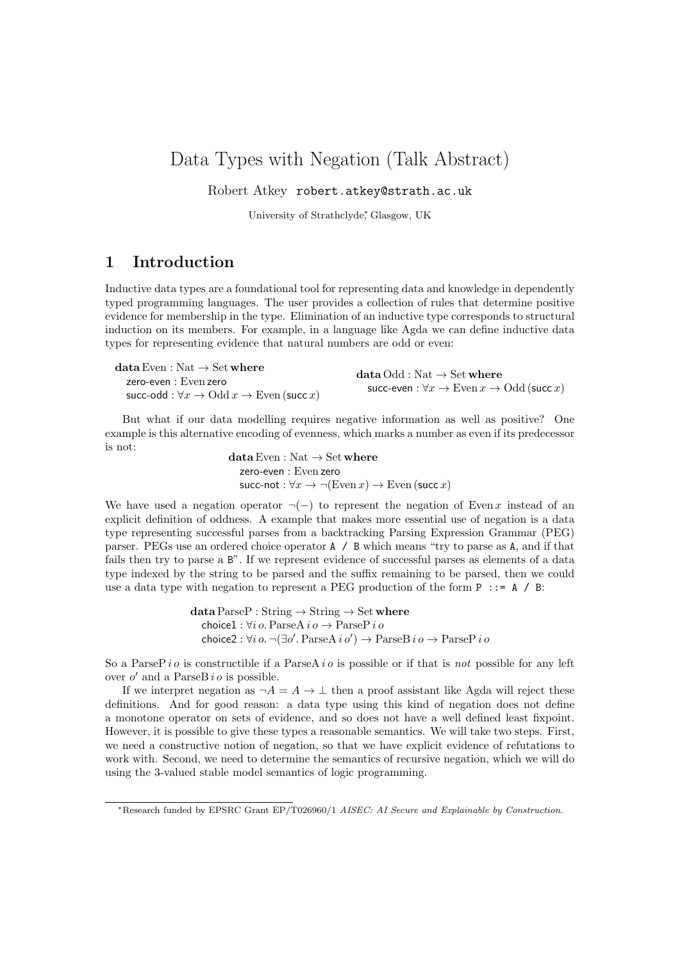# Data Types with Negation (Talk Abstract)

Robert Atkey robert.atkey@strath.ac.uk

University of Strathclyde<sup>∗</sup> , Glasgow, UK

### 1 Introduction

Inductive data types are a foundational tool for representing data and knowledge in dependently typed programming languages. The user provides a collection of rules that determine positive evidence for membership in the type. Elimination of an inductive type corresponds to structural induction on its members. For example, in a language like Agda we can define inductive data types for representing evidence that natural numbers are odd or even:

| $\text{{\bf data Even}} : \text{Nat} \to \text{Set}$ where                                 | $dataOdd: Nat \rightarrow Set where$                               |
|--------------------------------------------------------------------------------------------|--------------------------------------------------------------------|
| zero-even : Even zero                                                                      | succ-even : $\forall x \to \text{Even } x \to \text{Odd}$ (succ x) |
| succ-odd : $\forall x \rightarrow \text{Odd } x \rightarrow \text{Even } (\text{succ } x)$ |                                                                    |

But what if our data modelling requires negative information as well as positive? One example is this alternative encoding of evenness, which marks a number as even if its predecessor is not:

data Even : Nat  $\rightarrow$  Set where zero-even : Even zero succ-not :  $\forall x \rightarrow \neg(\text{Even } x) \rightarrow \text{Even } (\text{succ } x)$ 

We have used a negation operator  $\neg(-)$  to represent the negation of Even x instead of an explicit definition of oddness. A example that makes more essential use of negation is a data type representing successful parses from a backtracking Parsing Expression Grammar (PEG) parser. PEGs use an ordered choice operator A / B which means "try to parse as A, and if that fails then try to parse a B". If we represent evidence of successful parses as elements of a data type indexed by the string to be parsed and the suffix remaining to be parsed, then we could use a data type with negation to represent a PEG production of the form  $P$  ::= A / B:

> $dataParseP : String \rightarrow String \rightarrow Set where$ choice1 :  $\forall i \, o$ . ParseA  $i \, o \rightarrow$  ParseP  $i \, o$ choice2 :  $\forall i \, o. \, \neg(\exists o'. \, \text{ParseA} \, i \, o') \rightarrow \text{ParseB} \, i \, o \rightarrow \text{ParseP} \, i \, o$

So a ParseP i o is constructible if a ParseA i o is possible or if that is not possible for any left over  $o'$  and a ParseB i  $o$  is possible.

If we interpret negation as  $\neg A = A \rightarrow \bot$  then a proof assistant like Agda will reject these definitions. And for good reason: a data type using this kind of negation does not define a monotone operator on sets of evidence, and so does not have a well defined least fixpoint. However, it is possible to give these types a reasonable semantics. We will take two steps. First, we need a constructive notion of negation, so that we have explicit evidence of refutations to work with. Second, we need to determine the semantics of recursive negation, which we will do using the 3-valued stable model semantics of logic programming.

<sup>∗</sup>Research funded by EPSRC Grant EP/T026960/1 AISEC: AI Secure and Explainable by Construction.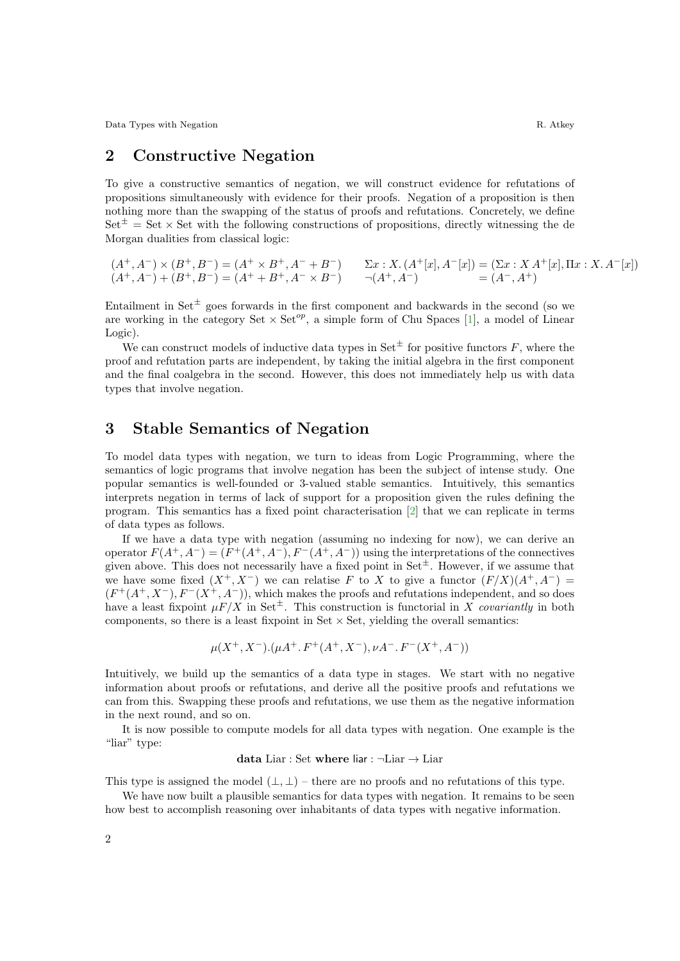Data Types with Negation R. Atkey

## 2 Constructive Negation

To give a constructive semantics of negation, we will construct evidence for refutations of propositions simultaneously with evidence for their proofs. Negation of a proposition is then nothing more than the swapping of the status of proofs and refutations. Concretely, we define  $Set^{\pm} = Set \times Set$  with the following constructions of propositions, directly witnessing the de Morgan dualities from classical logic:

$$
(A^+, A^-) \times (B^+, B^-) = (A^+ \times B^+, A^- + B^-) \qquad \Sigma x : X. (A^+[x], A^-[x]) = (\Sigma x : X A^+[x], \Pi x : X. A^-[x])
$$
  

$$
(A^+, A^-) + (B^+, B^-) = (A^+ + B^+, A^- \times B^-) \qquad \neg(A^+, A^-) = (A^-, A^+)
$$

Entailment in Set<sup> $\pm$ </sup> goes forwards in the first component and backwards in the second (so we are working in the category Set  $\times$  Set<sup>op</sup>, a simple form of Chu Spaces [\[1\]](#page-2-0), a model of Linear Logic).

We can construct models of inductive data types in Set<sup> $\pm$ </sup> for positive functors F, where the proof and refutation parts are independent, by taking the initial algebra in the first component and the final coalgebra in the second. However, this does not immediately help us with data types that involve negation.

#### 3 Stable Semantics of Negation

To model data types with negation, we turn to ideas from Logic Programming, where the semantics of logic programs that involve negation has been the subject of intense study. One popular semantics is well-founded or 3-valued stable semantics. Intuitively, this semantics interprets negation in terms of lack of support for a proposition given the rules defining the program. This semantics has a fixed point characterisation [\[2\]](#page-2-1) that we can replicate in terms of data types as follows.

If we have a data type with negation (assuming no indexing for now), we can derive an operator  $F(A^+, A^-) = (F^+(A^+, A^-), F^-(A^+, A^-))$  using the interpretations of the connectives given above. This does not necessarily have a fixed point in  $Set^{\pm}$ . However, if we assume that we have some fixed  $(X^+, X^-)$  we can relatise F to X to give a functor  $(F/X)(A^+, A^-)$  $(F^+(A^+, X^-), F^-(X^+, A^-))$ , which makes the proofs and refutations independent, and so does have a least fixpoint  $\mu F/X$  in Set<sup> $\pm$ </sup>. This construction is functorial in X covariantly in both components, so there is a least fixpoint in Set  $\times$  Set, yielding the overall semantics:

$$
\mu(X^+, X^-).(\mu A^+. F^+(A^+, X^-), \nu A^-. F^-(X^+, A^-))
$$

Intuitively, we build up the semantics of a data type in stages. We start with no negative information about proofs or refutations, and derive all the positive proofs and refutations we can from this. Swapping these proofs and refutations, we use them as the negative information in the next round, and so on.

It is now possible to compute models for all data types with negation. One example is the "liar" type:

#### data Liar : Set where liar :  $\neg$ Liar  $\rightarrow$  Liar

This type is assigned the model  $(\perp, \perp)$  – there are no proofs and no refutations of this type.

We have now built a plausible semantics for data types with negation. It remains to be seen how best to accomplish reasoning over inhabitants of data types with negative information.